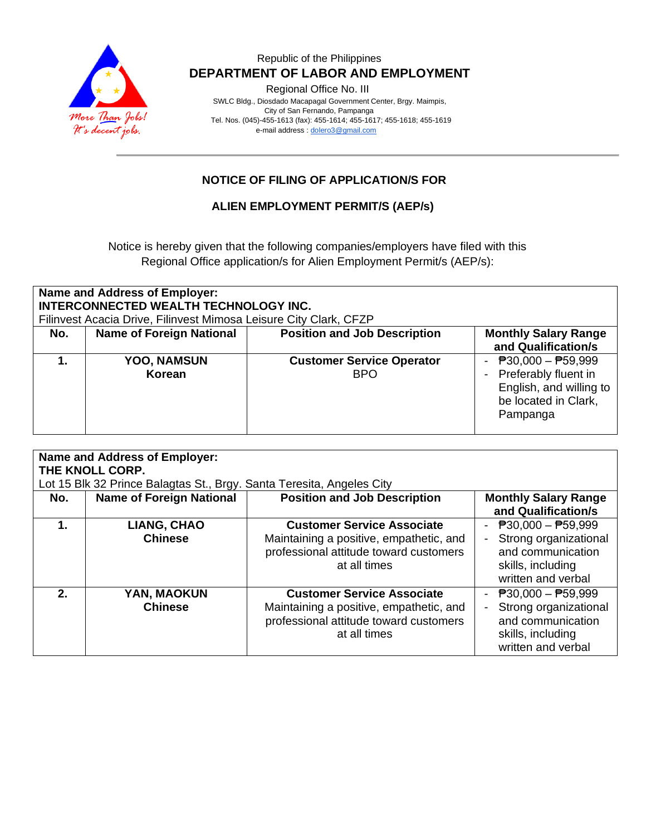

### Republic of the Philippines  **DEPARTMENT OF LABOR AND EMPLOYMENT**

Regional Office No. III

 SWLC Bldg., Diosdado Macapagal Government Center, Brgy. Maimpis, City of San Fernando, Pampanga Tel. Nos. (045)-455-1613 (fax): 455-1614; 455-1617; 455-1618; 455-1619 e-mail address [: dolero3@gmail.com](mailto:dolero3@gmail.com)

## **NOTICE OF FILING OF APPLICATION/S FOR**

#### **ALIEN EMPLOYMENT PERMIT/S (AEP/s)**

Notice is hereby given that the following companies/employers have filed with this Regional Office application/s for Alien Employment Permit/s (AEP/s):

| <b>Name and Address of Employer:</b><br><b>INTERCONNECTED WEALTH TECHNOLOGY INC.</b><br>Filinvest Acacia Drive, Filinvest Mimosa Leisure City Clark, CFZP |                                 |                                     |                                                     |  |  |  |
|-----------------------------------------------------------------------------------------------------------------------------------------------------------|---------------------------------|-------------------------------------|-----------------------------------------------------|--|--|--|
| No.                                                                                                                                                       | <b>Name of Foreign National</b> | <b>Position and Job Description</b> | <b>Monthly Salary Range</b><br>and Qualification/s  |  |  |  |
|                                                                                                                                                           |                                 |                                     |                                                     |  |  |  |
|                                                                                                                                                           | <b>YOO, NAMSUN</b>              | <b>Customer Service Operator</b>    | $\overline{P}30,000 - \overline{P}59,999$<br>$\sim$ |  |  |  |
|                                                                                                                                                           | Korean                          | <b>BPO</b>                          | - Preferably fluent in                              |  |  |  |
|                                                                                                                                                           |                                 |                                     | English, and willing to                             |  |  |  |
|                                                                                                                                                           |                                 |                                     | be located in Clark,                                |  |  |  |
|                                                                                                                                                           |                                 |                                     | Pampanga                                            |  |  |  |
|                                                                                                                                                           |                                 |                                     |                                                     |  |  |  |

| <b>Name and Address of Employer:</b><br>THE KNOLL CORP.               |                                      |                                                                                                                                        |                                                                                                                                    |  |  |  |
|-----------------------------------------------------------------------|--------------------------------------|----------------------------------------------------------------------------------------------------------------------------------------|------------------------------------------------------------------------------------------------------------------------------------|--|--|--|
| Lot 15 Blk 32 Prince Balagtas St., Brgy. Santa Teresita, Angeles City |                                      |                                                                                                                                        |                                                                                                                                    |  |  |  |
| No.                                                                   | <b>Name of Foreign National</b>      | <b>Position and Job Description</b>                                                                                                    | <b>Monthly Salary Range</b><br>and Qualification/s                                                                                 |  |  |  |
| 1.                                                                    | <b>LIANG, CHAO</b><br><b>Chinese</b> | <b>Customer Service Associate</b><br>Maintaining a positive, empathetic, and<br>professional attitude toward customers<br>at all times | $\overline{P}30,000 - \overline{P}59,999$<br>Strong organizational<br>and communication<br>skills, including<br>written and verbal |  |  |  |
| $2_{-}$                                                               | YAN, MAOKUN<br><b>Chinese</b>        | <b>Customer Service Associate</b><br>Maintaining a positive, empathetic, and<br>professional attitude toward customers<br>at all times | - $P30,000 - P59,999$<br>Strong organizational<br>and communication<br>skills, including<br>written and verbal                     |  |  |  |